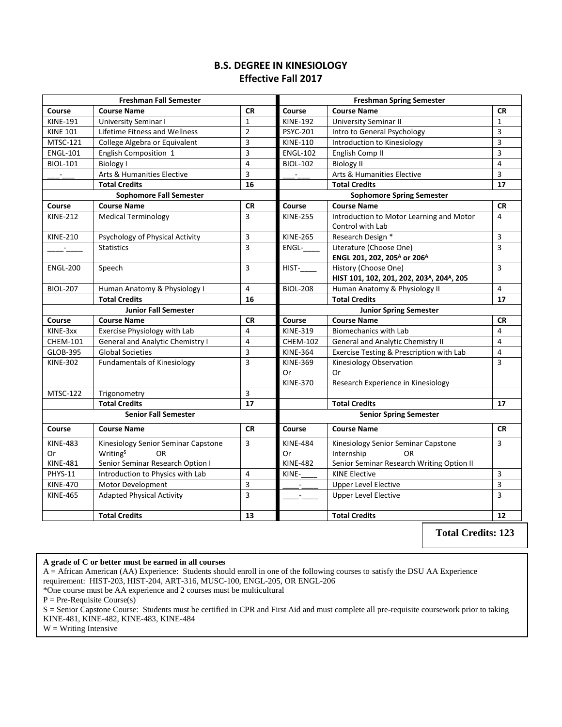## **B.S. DEGREE IN KINESIOLOGY Effective Fall 2017**

|                 | <b>Freshman Fall Semester</b>                                            |                | <b>Freshman Spring Semester</b>  |                                                                    |                         |
|-----------------|--------------------------------------------------------------------------|----------------|----------------------------------|--------------------------------------------------------------------|-------------------------|
| Course          | <b>Course Name</b>                                                       | <b>CR</b>      | Course                           | <b>Course Name</b>                                                 | <b>CR</b>               |
| <b>KINE-191</b> | <b>University Seminar I</b>                                              | $\mathbf{1}$   | <b>KINE-192</b>                  | University Seminar II                                              | $\mathbf{1}$            |
| <b>KINE 101</b> | Lifetime Fitness and Wellness                                            | $\overline{2}$ | <b>PSYC-201</b>                  | Intro to General Psychology                                        | 3                       |
| <b>MTSC-121</b> | College Algebra or Equivalent                                            | 3              | <b>KINE-110</b>                  | Introduction to Kinesiology                                        | 3                       |
| <b>ENGL-101</b> | English Composition 1                                                    | 3              | <b>ENGL-102</b>                  | English Comp II                                                    | 3                       |
| <b>BIOL-101</b> | <b>Biology I</b>                                                         | 4              | <b>BIOL-102</b>                  | <b>Biology II</b>                                                  | $\overline{4}$          |
|                 | Arts & Humanities Elective                                               | 3              |                                  | Arts & Humanities Elective                                         | 3                       |
|                 | <b>Total Credits</b>                                                     | 16             |                                  | <b>Total Credits</b>                                               | $\overline{17}$         |
|                 | <b>Sophomore Fall Semester</b>                                           |                | <b>Sophomore Spring Semester</b> |                                                                    |                         |
| Course          | <b>Course Name</b>                                                       | <b>CR</b>      | Course                           | <b>Course Name</b>                                                 | <b>CR</b>               |
| <b>KINE-212</b> | <b>Medical Terminology</b>                                               | 3              | <b>KINE-255</b>                  | Introduction to Motor Learning and Motor                           | $\overline{4}$          |
|                 |                                                                          |                |                                  | Control with Lab                                                   |                         |
| <b>KINE-210</b> | Psychology of Physical Activity                                          | 3              | <b>KINE-265</b>                  | Research Design *                                                  | 3                       |
| <b>Contract</b> | <b>Statistics</b>                                                        | 3              | ENGL-                            | Literature (Choose One)                                            | $\overline{3}$          |
|                 |                                                                          |                |                                  | ENGL 201, 202, 205 <sup>A</sup> or 206 <sup>A</sup>                |                         |
| <b>ENGL-200</b> | Speech                                                                   | 3              | $HIST-$                          | History (Choose One)                                               | 3                       |
|                 |                                                                          |                |                                  | HIST 101, 102, 201, 202, 203 <sup>A</sup> , 204 <sup>A</sup> , 205 |                         |
| <b>BIOL-207</b> | Human Anatomy & Physiology I                                             | 4              | <b>BIOL-208</b>                  | Human Anatomy & Physiology II                                      | 4                       |
|                 | <b>Total Credits</b>                                                     | 16             |                                  | <b>Total Credits</b>                                               | $\overline{17}$         |
|                 | <b>Junior Fall Semester</b>                                              |                | <b>Junior Spring Semester</b>    |                                                                    |                         |
| Course          | <b>Course Name</b>                                                       | <b>CR</b>      | Course                           | <b>Course Name</b>                                                 | <b>CR</b>               |
| KINE-3xx        | Exercise Physiology with Lab                                             | 4              | <b>KINE-319</b>                  | <b>Biomechanics with Lab</b>                                       | 4                       |
| <b>CHEM-101</b> | General and Analytic Chemistry I                                         | 4              | <b>CHEM-102</b>                  | General and Analytic Chemistry II                                  | 4                       |
|                 |                                                                          |                |                                  |                                                                    |                         |
| GLOB-395        | <b>Global Societies</b>                                                  | 3              | <b>KINE-364</b>                  | Exercise Testing & Prescription with Lab                           | 4                       |
| <b>KINE-302</b> | <b>Fundamentals of Kinesiology</b>                                       | 3              | <b>KINE-369</b>                  | Kinesiology Observation                                            | $\overline{3}$          |
|                 |                                                                          |                | Or                               | Or                                                                 |                         |
|                 |                                                                          |                | <b>KINE-370</b>                  | Research Experience in Kinesiology                                 |                         |
| <b>MTSC-122</b> | Trigonometry                                                             | 3              |                                  |                                                                    |                         |
|                 | <b>Total Credits</b>                                                     | 17             |                                  | <b>Total Credits</b>                                               | 17                      |
|                 | <b>Senior Fall Semester</b>                                              |                |                                  | <b>Senior Spring Semester</b>                                      |                         |
| Course          | <b>Course Name</b>                                                       | <b>CR</b>      | Course                           | <b>Course Name</b>                                                 | <b>CR</b>               |
| <b>KINE-483</b> |                                                                          | 3              | <b>KINE-484</b>                  |                                                                    | 3                       |
| Or              | Kinesiology Senior Seminar Capstone<br>Writing <sup>S</sup><br><b>OR</b> |                | Or                               | Kinesiology Senior Seminar Capstone<br>Internship<br><b>OR</b>     |                         |
| <b>KINE-481</b> | Senior Seminar Research Option I                                         |                | <b>KINE-482</b>                  | Senior Seminar Research Writing Option II                          |                         |
| <b>PHYS-11</b>  | Introduction to Physics with Lab                                         | 4              | KINE-                            | <b>KINE Elective</b>                                               | 3                       |
| <b>KINE-470</b> | Motor Development                                                        | 3              |                                  | <b>Upper Level Elective</b>                                        | $\overline{\mathbf{3}}$ |
| <b>KINE-465</b> | <b>Adapted Physical Activity</b>                                         | 3              |                                  | <b>Upper Level Elective</b>                                        | 3                       |
|                 | <b>Total Credits</b>                                                     | 13             |                                  | <b>Total Credits</b>                                               | 12                      |

**Total Credits: 123**

**A grade of C or better must be earned in all courses**

A = African American (AA) Experience: Students should enroll in one of the following courses to satisfy the DSU AA Experience requirement: HIST-203, HIST-204, ART-316, MUSC-100, ENGL-205, OR ENGL-206

\*One course must be AA experience and 2 courses must be multicultural

 $P = Pre-Required Course(s)$ 

S = Senior Capstone Course: Students must be certified in CPR and First Aid and must complete all pre-requisite coursework prior to taking KINE-481, KINE-482, KINE-483, KINE-484

 $W =$  Writing Intensive